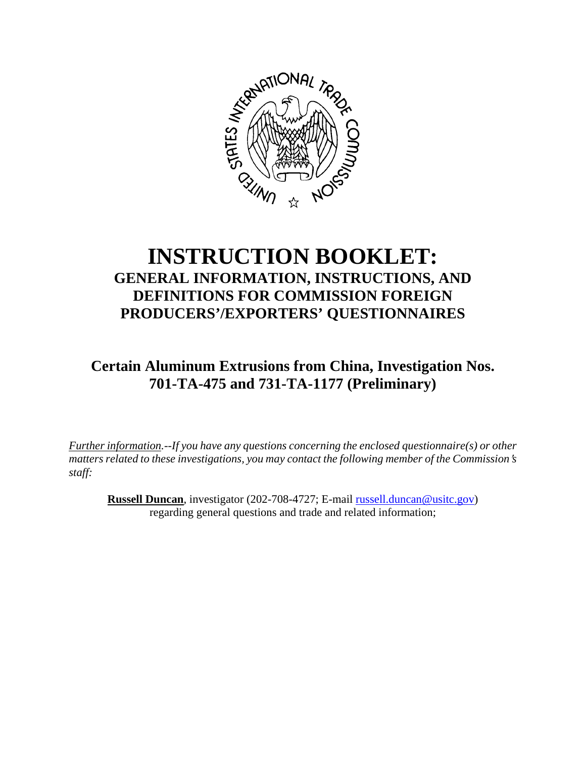

## **INSTRUCTION BOOKLET: GENERAL INFORMATION, INSTRUCTIONS, AND DEFINITIONS FOR COMMISSION FOREIGN PRODUCERS'/EXPORTERS' QUESTIONNAIRES**

**Certain Aluminum Extrusions from China, Investigation Nos. 701-TA-475 and 731-TA-1177 (Preliminary)**

*Further information.--If you have any questions concerning the enclosed questionnaire(s) or other matters related to these investigations, you may contact the following member of the Commission's staff:* 

**Russell Duncan**, investigator (202-708-4727; E-mail russell.duncan@usitc.gov) regarding general questions and trade and related information;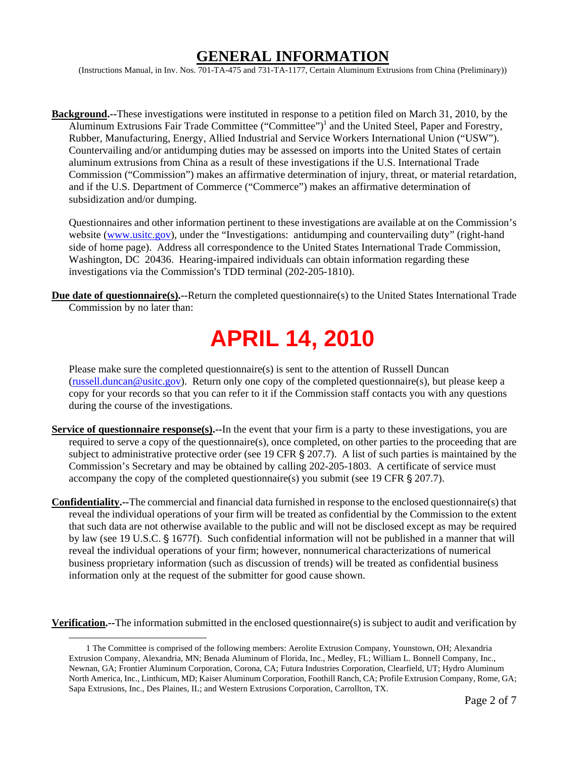## **GENERAL INFORMATION**

(Instructions Manual, in Inv. Nos. 701-TA-475 and 731-TA-1177, Certain Aluminum Extrusions from China (Preliminary))

**Background.--**These investigations were instituted in response to a petition filed on March 31, 2010, by the Aluminum Extrusions Fair Trade Committee ("Committee")<sup>1</sup> and the United Steel, Paper and Forestry, Rubber, Manufacturing, Energy, Allied Industrial and Service Workers International Union ("USW"). Countervailing and/or antidumping duties may be assessed on imports into the United States of certain aluminum extrusions from China as a result of these investigations if the U.S. International Trade Commission ("Commission") makes an affirmative determination of injury, threat, or material retardation, and if the U.S. Department of Commerce ("Commerce") makes an affirmative determination of subsidization and/or dumping.

Questionnaires and other information pertinent to these investigations are available at on the Commission's website (www.usitc.gov), under the "Investigations: antidumping and countervailing duty" (right-hand side of home page). Address all correspondence to the United States International Trade Commission, Washington, DC 20436. Hearing-impaired individuals can obtain information regarding these investigations via the Commission's TDD terminal (202-205-1810).

**Due date of questionnaire(s).--**Return the completed questionnaire(s) to the United States International Trade Commission by no later than:

# **APRIL 14, 2010**

Please make sure the completed questionnaire(s) is sent to the attention of Russell Duncan (russell.duncan@usitc.gov). Return only one copy of the completed questionnaire(s), but please keep a copy for your records so that you can refer to it if the Commission staff contacts you with any questions during the course of the investigations.

- **Service of questionnaire response(s).**--In the event that your firm is a party to these investigations, you are required to serve a copy of the questionnaire(s), once completed, on other parties to the proceeding that are subject to administrative protective order (see 19 CFR  $\S$  207.7). A list of such parties is maintained by the Commission's Secretary and may be obtained by calling 202-205-1803. A certificate of service must accompany the copy of the completed questionnaire(s) you submit (see 19 CFR  $\S$  207.7).
- **Confidentiality.--**The commercial and financial data furnished in response to the enclosed questionnaire(s) that reveal the individual operations of your firm will be treated as confidential by the Commission to the extent that such data are not otherwise available to the public and will not be disclosed except as may be required by law (see 19 U.S.C. § 1677f). Such confidential information will not be published in a manner that will reveal the individual operations of your firm; however, nonnumerical characterizations of numerical business proprietary information (such as discussion of trends) will be treated as confidential business information only at the request of the submitter for good cause shown.

**Verification.--**The information submitted in the enclosed questionnaire(s) is subject to audit and verification by

 <sup>1</sup> The Committee is comprised of the following members: Aerolite Extrusion Company, Younstown, OH; Alexandria Extrusion Company, Alexandria, MN; Benada Aluminum of Florida, Inc., Medley, FL; William L. Bonnell Company, Inc., Newnan, GA; Frontier Aluminum Corporation, Corona, CA; Futura Industries Corporation, Clearfield, UT; Hydro Aluminum North America, Inc., Linthicum, MD; Kaiser Aluminum Corporation, Foothill Ranch, CA; Profile Extrusion Company, Rome, GA; Sapa Extrusions, Inc., Des Plaines, IL; and Western Extrusions Corporation, Carrollton, TX.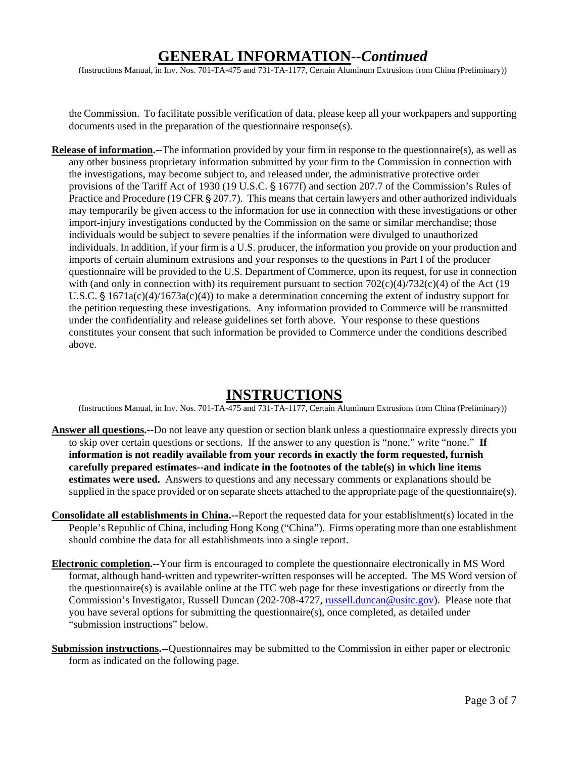## **GENERAL INFORMATION--***Continued*

(Instructions Manual, in Inv. Nos. 701-TA-475 and 731-TA-1177, Certain Aluminum Extrusions from China (Preliminary))

the Commission. To facilitate possible verification of data, please keep all your workpapers and supporting documents used in the preparation of the questionnaire response(s).

**Release of information.--**The information provided by your firm in response to the questionnaire(s), as well as any other business proprietary information submitted by your firm to the Commission in connection with the investigations, may become subject to, and released under, the administrative protective order provisions of the Tariff Act of 1930 (19 U.S.C. § 1677f) and section 207.7 of the Commission's Rules of Practice and Procedure (19 CFR  $\S 207.7$ ). This means that certain lawyers and other authorized individuals may temporarily be given access to the information for use in connection with these investigations or other import-injury investigations conducted by the Commission on the same or similar merchandise; those individuals would be subject to severe penalties if the information were divulged to unauthorized individuals. In addition, if your firm is a U.S. producer, the information you provide on your production and imports of certain aluminum extrusions and your responses to the questions in Part I of the producer questionnaire will be provided to the U.S. Department of Commerce, upon its request, for use in connection with (and only in connection with) its requirement pursuant to section  $702(c)(4)/732(c)(4)$  of the Act (19 U.S.C.  $\frac{1}{2}$  1671a(c)(4)/1673a(c)(4)) to make a determination concerning the extent of industry support for the petition requesting these investigations. Any information provided to Commerce will be transmitted under the confidentiality and release guidelines set forth above. Your response to these questions constitutes your consent that such information be provided to Commerce under the conditions described above.

## **INSTRUCTIONS**

(Instructions Manual, in Inv. Nos. 701-TA-475 and 731-TA-1177, Certain Aluminum Extrusions from China (Preliminary))

- **Answer all questions.--**Do not leave any question or section blank unless a questionnaire expressly directs you to skip over certain questions or sections. If the answer to any question is "none," write "none." **If information is not readily available from your records in exactly the form requested, furnish carefully prepared estimates--and indicate in the footnotes of the table(s) in which line items estimates were used.** Answers to questions and any necessary comments or explanations should be supplied in the space provided or on separate sheets attached to the appropriate page of the questionnaire(s).
- **Consolidate all establishments in China.--**Report the requested data for your establishment(s) located in the People's Republic of China, including Hong Kong ("China"). Firms operating more than one establishment should combine the data for all establishments into a single report.
- **Electronic completion.--**Your firm is encouraged to complete the questionnaire electronically in MS Word format, although hand-written and typewriter-written responses will be accepted. The MS Word version of the questionnaire(s) is available online at the ITC web page for these investigations or directly from the Commission's Investigator, Russell Duncan (202-708-4727, russell.duncan@usitc.gov). Please note that you have several options for submitting the questionnaire(s), once completed, as detailed under "submission instructions" below.
- **Submission instructions.--**Questionnaires may be submitted to the Commission in either paper or electronic form as indicated on the following page.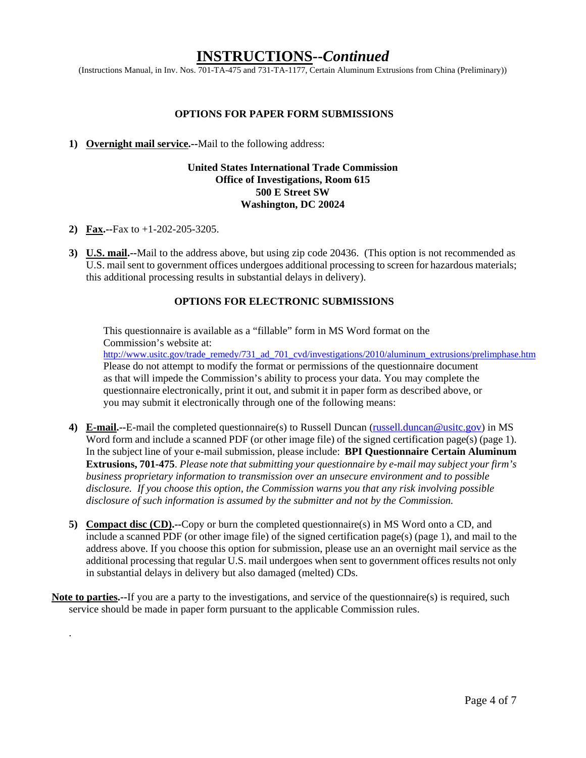### **INSTRUCTIONS--***Continued*

(Instructions Manual, in Inv. Nos. 701-TA-475 and 731-TA-1177, Certain Aluminum Extrusions from China (Preliminary))

#### **OPTIONS FOR PAPER FORM SUBMISSIONS**

#### **1) Overnight mail service.--**Mail to the following address:

#### **United States International Trade Commission Office of Investigations, Room 615 500 E Street SW Washington, DC 20024**

**2) Fax.--**Fax to +1-202-205-3205.

.

**3) U.S. mail.--**Mail to the address above, but using zip code 20436. (This option is not recommended as U.S. mail sent to government offices undergoes additional processing to screen for hazardous materials; this additional processing results in substantial delays in delivery).

#### **OPTIONS FOR ELECTRONIC SUBMISSIONS**

This questionnaire is available as a "fillable" form in MS Word format on the Commission's website at:

http://www.usitc.gov/trade\_remedy/731\_ad\_701\_cvd/investigations/2010/aluminum\_extrusions/prelimphase.htm Please do not attempt to modify the format or permissions of the questionnaire document as that will impede the Commission's ability to process your data. You may complete the questionnaire electronically, print it out, and submit it in paper form as described above, or you may submit it electronically through one of the following means:

- **4) E-mail.--**E-mail the completed questionnaire(s) to Russell Duncan (russell.duncan@usitc.gov) in MS Word form and include a scanned PDF (or other image file) of the signed certification page(s) (page 1). In the subject line of your e-mail submission, please include: **BPI Questionnaire Certain Aluminum Extrusions, 701-475**. *Please note that submitting your questionnaire by e-mail may subject your firm's business proprietary information to transmission over an unsecure environment and to possible disclosure. If you choose this option, the Commission warns you that any risk involving possible disclosure of such information is assumed by the submitter and not by the Commission.*
- **5) Compact disc (CD).--**Copy or burn the completed questionnaire(s) in MS Word onto a CD, and include a scanned PDF (or other image file) of the signed certification page(s) (page 1), and mail to the address above. If you choose this option for submission, please use an an overnight mail service as the additional processing that regular U.S. mail undergoes when sent to government offices results not only in substantial delays in delivery but also damaged (melted) CDs.
- **Note to parties.--**If you are a party to the investigations, and service of the questionnaire(s) is required, such service should be made in paper form pursuant to the applicable Commission rules.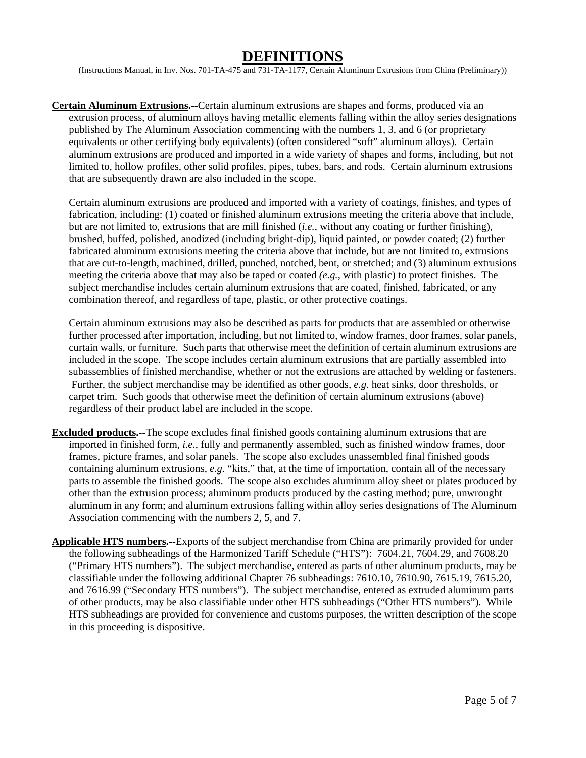## **DEFINITIONS**

(Instructions Manual, in Inv. Nos. 701-TA-475 and 731-TA-1177, Certain Aluminum Extrusions from China (Preliminary))

**Certain Aluminum Extrusions.--**Certain aluminum extrusions are shapes and forms, produced via an extrusion process, of aluminum alloys having metallic elements falling within the alloy series designations published by The Aluminum Association commencing with the numbers 1, 3, and 6 (or proprietary equivalents or other certifying body equivalents) (often considered "soft" aluminum alloys). Certain aluminum extrusions are produced and imported in a wide variety of shapes and forms, including, but not limited to, hollow profiles, other solid profiles, pipes, tubes, bars, and rods. Certain aluminum extrusions that are subsequently drawn are also included in the scope.

Certain aluminum extrusions are produced and imported with a variety of coatings, finishes, and types of fabrication, including: (1) coated or finished aluminum extrusions meeting the criteria above that include, but are not limited to, extrusions that are mill finished (*i.e.*, without any coating or further finishing), brushed, buffed, polished, anodized (including bright-dip), liquid painted, or powder coated; (2) further fabricated aluminum extrusions meeting the criteria above that include, but are not limited to, extrusions that are cut-to-length, machined, drilled, punched, notched, bent, or stretched; and (3) aluminum extrusions meeting the criteria above that may also be taped or coated *(e.g.*, with plastic) to protect finishes. The subject merchandise includes certain aluminum extrusions that are coated, finished, fabricated, or any combination thereof, and regardless of tape, plastic, or other protective coatings.

Certain aluminum extrusions may also be described as parts for products that are assembled or otherwise further processed after importation, including, but not limited to, window frames, door frames, solar panels, curtain walls, or furniture. Such parts that otherwise meet the definition of certain aluminum extrusions are included in the scope. The scope includes certain aluminum extrusions that are partially assembled into subassemblies of finished merchandise, whether or not the extrusions are attached by welding or fasteners. Further, the subject merchandise may be identified as other goods, *e.g.* heat sinks, door thresholds, or carpet trim. Such goods that otherwise meet the definition of certain aluminum extrusions (above) regardless of their product label are included in the scope.

- **Excluded products.--**The scope excludes final finished goods containing aluminum extrusions that are imported in finished form, *i.e.*, fully and permanently assembled, such as finished window frames, door frames, picture frames, and solar panels. The scope also excludes unassembled final finished goods containing aluminum extrusions, *e.g.* "kits," that, at the time of importation, contain all of the necessary parts to assemble the finished goods. The scope also excludes aluminum alloy sheet or plates produced by other than the extrusion process; aluminum products produced by the casting method; pure, unwrought aluminum in any form; and aluminum extrusions falling within alloy series designations of The Aluminum Association commencing with the numbers 2, 5, and 7.
- **Applicable HTS numbers.--**Exports of the subject merchandise from China are primarily provided for under the following subheadings of the Harmonized Tariff Schedule ("HTS"): 7604.21, 7604.29, and 7608.20 ("Primary HTS numbers"). The subject merchandise, entered as parts of other aluminum products, may be classifiable under the following additional Chapter 76 subheadings: 7610.10, 7610.90, 7615.19, 7615.20, and 7616.99 ("Secondary HTS numbers"). The subject merchandise, entered as extruded aluminum parts of other products, may be also classifiable under other HTS subheadings ("Other HTS numbers"). While HTS subheadings are provided for convenience and customs purposes, the written description of the scope in this proceeding is dispositive.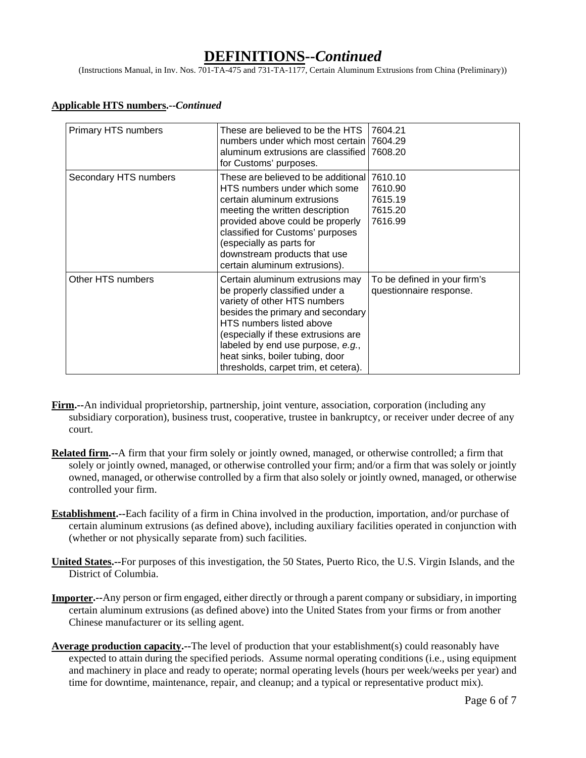## **DEFINITIONS--***Continued*

(Instructions Manual, in Inv. Nos. 701-TA-475 and 731-TA-1177, Certain Aluminum Extrusions from China (Preliminary))

#### **Applicable HTS numbers.--***Continued*

| Primary HTS numbers   | These are believed to be the HTS<br>numbers under which most certain<br>aluminum extrusions are classified<br>for Customs' purposes.                                                                                                                                                                                      | 7604.21<br>7604.29<br>7608.20                           |
|-----------------------|---------------------------------------------------------------------------------------------------------------------------------------------------------------------------------------------------------------------------------------------------------------------------------------------------------------------------|---------------------------------------------------------|
| Secondary HTS numbers | These are believed to be additional 17610.10<br>HTS numbers under which some<br>certain aluminum extrusions<br>meeting the written description<br>provided above could be properly<br>classified for Customs' purposes<br>(especially as parts for<br>downstream products that use<br>certain aluminum extrusions).       | 7610.90<br>7615.19<br>7615.20<br>7616.99                |
| Other HTS numbers     | Certain aluminum extrusions may<br>be properly classified under a<br>variety of other HTS numbers<br>besides the primary and secondary<br>HTS numbers listed above<br>(especially if these extrusions are<br>labeled by end use purpose, e.g.,<br>heat sinks, boiler tubing, door<br>thresholds, carpet trim, et cetera). | To be defined in your firm's<br>questionnaire response. |

- **Firm.--**An individual proprietorship, partnership, joint venture, association, corporation (including any subsidiary corporation), business trust, cooperative, trustee in bankruptcy, or receiver under decree of any court.
- **Related firm.--**A firm that your firm solely or jointly owned, managed, or otherwise controlled; a firm that solely or jointly owned, managed, or otherwise controlled your firm; and/or a firm that was solely or jointly owned, managed, or otherwise controlled by a firm that also solely or jointly owned, managed, or otherwise controlled your firm.
- **Establishment.--**Each facility of a firm in China involved in the production, importation, and/or purchase of certain aluminum extrusions (as defined above), including auxiliary facilities operated in conjunction with (whether or not physically separate from) such facilities.
- **United States.--**For purposes of this investigation, the 50 States, Puerto Rico, the U.S. Virgin Islands, and the District of Columbia.
- **Importer.--**Any person or firm engaged, either directly or through a parent company or subsidiary, in importing certain aluminum extrusions (as defined above) into the United States from your firms or from another Chinese manufacturer or its selling agent.
- **Average production capacity.--**The level of production that your establishment(s) could reasonably have expected to attain during the specified periods. Assume normal operating conditions (i.e., using equipment and machinery in place and ready to operate; normal operating levels (hours per week/weeks per year) and time for downtime, maintenance, repair, and cleanup; and a typical or representative product mix).